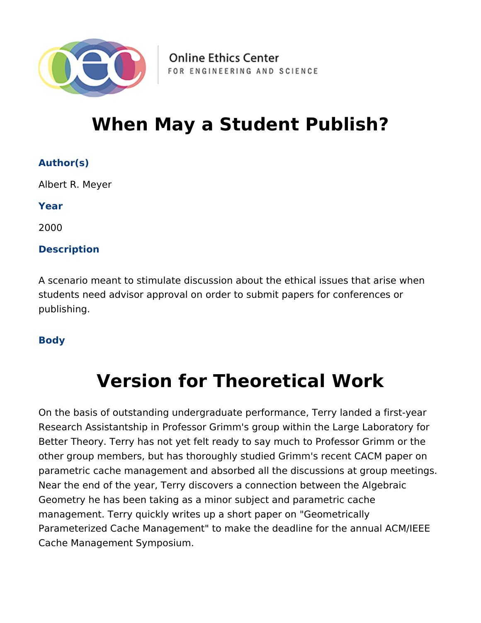

**Online Ethics Center** FOR ENGINEERING AND SCIENCE

## **When May a Student Publish?**

## **Author(s)**

Albert R. Meyer

**Year**

2000

## **Description**

A scenario meant to stimulate discussion about the ethical issues that arise when students need advisor approval on order to submit papers for conferences or publishing.

### **Body**

# **Version for Theoretical Work**

On the basis of outstanding undergraduate performance, Terry landed a first-year Research Assistantship in Professor Grimm's group within the Large Laboratory for Better Theory. Terry has not yet felt ready to say much to Professor Grimm or the other group members, but has thoroughly studied Grimm's recent CACM paper on parametric cache management and absorbed all the discussions at group meetings. Near the end of the year, Terry discovers a connection between the Algebraic Geometry he has been taking as a minor subject and parametric cache management. Terry quickly writes up a short paper on "Geometrically Parameterized Cache Management" to make the deadline for the annual ACM/IEEE Cache Management Symposium.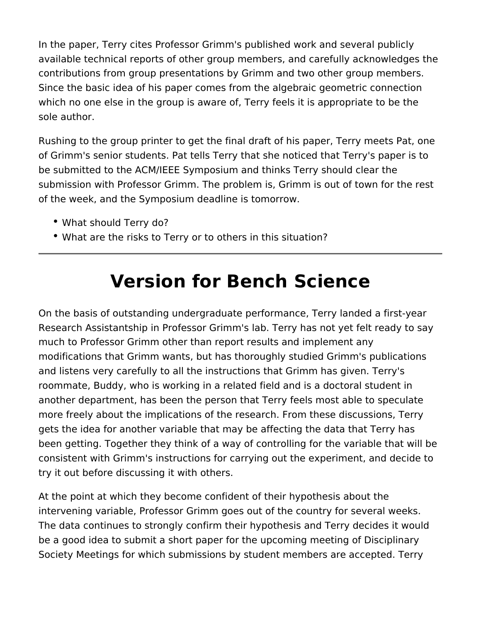In the paper, Terry cites Professor Grimm's published work and several publicly available technical reports of other group members, and carefully acknowledges the contributions from group presentations by Grimm and two other group members. Since the basic idea of his paper comes from the algebraic geometric connection which no one else in the group is aware of, Terry feels it is appropriate to be the sole author.

Rushing to the group printer to get the final draft of his paper, Terry meets Pat, one of Grimm's senior students. Pat tells Terry that she noticed that Terry's paper is to be submitted to the ACM/IEEE Symposium and thinks Terry should clear the submission with Professor Grimm. The problem is, Grimm is out of town for the rest of the week, and the Symposium deadline is tomorrow.

- What should Terry do?
- What are the risks to Terry or to others in this situation?

# **Version for Bench Science**

On the basis of outstanding undergraduate performance, Terry landed a first-year Research Assistantship in Professor Grimm's lab. Terry has not yet felt ready to say much to Professor Grimm other than report results and implement any modifications that Grimm wants, but has thoroughly studied Grimm's publications and listens very carefully to all the instructions that Grimm has given. Terry's roommate, Buddy, who is working in a related field and is a doctoral student in another department, has been the person that Terry feels most able to speculate more freely about the implications of the research. From these discussions, Terry gets the idea for another variable that may be affecting the data that Terry has been getting. Together they think of a way of controlling for the variable that will be consistent with Grimm's instructions for carrying out the experiment, and decide to try it out before discussing it with others.

At the point at which they become confident of their hypothesis about the intervening variable, Professor Grimm goes out of the country for several weeks. The data continues to strongly confirm their hypothesis and Terry decides it would be a good idea to submit a short paper for the upcoming meeting of Disciplinary Society Meetings for which submissions by student members are accepted. Terry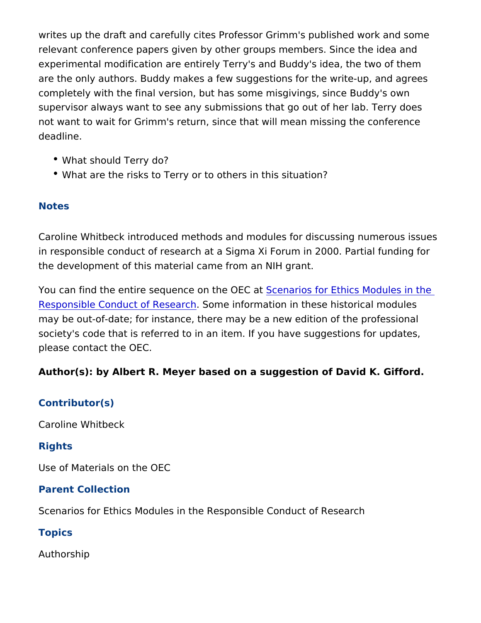writes up the draft and carefully cites Professor Grimm's publishe relevant conference papers given by other groups members. Since experimental modification are entirely Terry's and Buddy's idea, t are the only authors. Buddy makes a few suggestions for the writecompletely with the final version, but has some misgivings, since supervisor always want to see any submissions that go out of her not want to wait for Grimm's return, since that will mean missing deadline.

- What should Terry do?
- What are the risks to Terry or to others in this situation?

#### Notes

Caroline Whitbeck introduced methods and modules for discussing in responsible conduct of research at a Sigma Xi Forum in 2000. the development of this material came from an NIH grant.

You can find the entire sequence  $\delta$ retherios Coat Ethics Modules in [Responsible Conduct of](https://onlineethics.org/taxonomy/term/1796) RSecsmerch formation in these historical mod may be out-of-date; for instance, there may be a new edition of the society's code that is referred to in an item. If you have suggesti please contact the OEC.

Author(s): by Albert R. Meyer based on a suggestion of David K.

#### Contributor(s)

Caroline Whitbeck

#### Rights

Use of Materials on the OEC

Parent Collection

Scenarios for Ethics Modules in the Responsible Conduct of Rese

Topics

Authorship